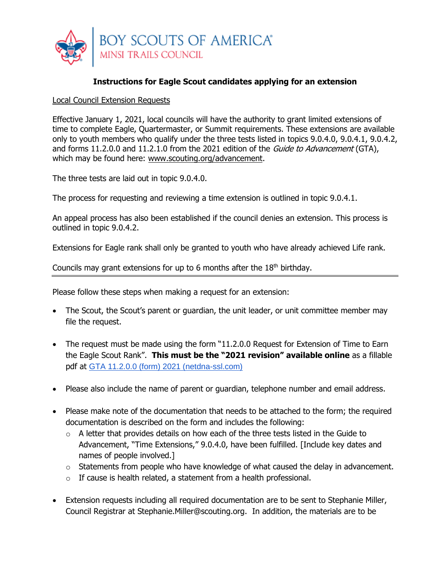

## **Instructions for Eagle Scout candidates applying for an extension**

## Local Council Extension Requests

Effective January 1, 2021, local councils will have the authority to grant limited extensions of time to complete Eagle, Quartermaster, or Summit requirements. These extensions are available only to youth members who qualify under the three tests listed in topics 9.0.4.0, 9.0.4.1, 9.0.4.2, and forms 11.2.0.0 and 11.2.1.0 from the 2021 edition of the Guide to Advancement (GTA), which may be found here: [www.scouting.org/advancement.](http://www.scouting.org/advancement)

The three tests are laid out in topic 9.0.4.0.

The process for requesting and reviewing a time extension is outlined in topic 9.0.4.1.

An appeal process has also been established if the council denies an extension. This process is outlined in topic 9.0.4.2.

Extensions for Eagle rank shall only be granted to youth who have already achieved Life rank.

Councils may grant extensions for up to 6 months after the  $18<sup>th</sup>$  birthday.

Please follow these steps when making a request for an extension:

- The Scout, the Scout's parent or guardian, the unit leader, or unit committee member may file the request.
- The request must be made using the form "11.2.0.0 Request for Extension of Time to Earn the Eagle Scout Rank". **This must be the "2021 revision" available online** as a fillable pdf at [GTA 11.2.0.0 \(form\) 2021 \(netdna-ssl.com\)](https://i9peu1ikn3a16vg4e45rqi17-wpengine.netdna-ssl.com/wp-content/uploads/2020/12/GTA-11.2.0.0-form-2021.pdf)
- Please also include the name of parent or guardian, telephone number and email address.
- Please make note of the documentation that needs to be attached to the form; the required documentation is described on the form and includes the following:
	- o A letter that provides details on how each of the three tests listed in the Guide to Advancement, "Time Extensions," 9.0.4.0, have been fulfilled. [Include key dates and names of people involved.]
	- $\circ$  Statements from people who have knowledge of what caused the delay in advancement.
	- $\circ$  If cause is health related, a statement from a health professional.
- Extension requests including all required documentation are to be sent to Stephanie Miller, Council Registrar at Stephanie.Miller@scouting.org. In addition, the materials are to be